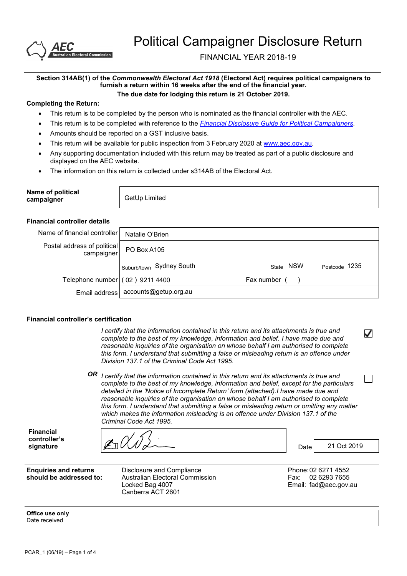

FINANCIAL YEAR 2018-19

#### **Section 314AB(1) of the** *Commonwealth Electoral Act 1918* **(Electoral Act) requires political campaigners to furnish a return within 16 weeks after the end of the financial year. The due date for lodging this return is 21 October 2019.**

#### **Completing the Return:**

- This return is to be completed by the person who is nominated as the financial controller with the AEC.
- x This return is to be completed with reference to the *Financial Disclosure Guide for Political Campaigners.*
- Amounts should be reported on a GST inclusive basis.
- This return will be available for public inspection from 3 February 2020 at www.aec.gov.au.
- Any supporting documentation included with this return may be treated as part of a public disclosure and displayed on the AEC website.
- The information on this return is collected under s314AB of the Electoral Act.

| Name of political<br>campaigner | GetUp Limited |
|---------------------------------|---------------|
|---------------------------------|---------------|

#### **Financial controller details**

| Name of financial controller l            | Natalie O'Brien                       |                     |               |
|-------------------------------------------|---------------------------------------|---------------------|---------------|
| Postal address of political<br>campaigner | PO Box A105                           |                     |               |
|                                           | I Suburb/town Sydney South            | <b>NSW</b><br>State | Postcode 1235 |
| Telephone number (02) 9211 4400           |                                       | Fax number          |               |
|                                           | Email address   accounts@getup.org.au |                     |               |

#### **Financial controller's certification**

*I certify that the information contained in this return and its attachments is true and complete to the best of my knowledge, information and belief. I have made due and reasonable inquiries of the organisation on whose behalf I am authorised to complete this form. I understand that submitting a false or misleading return is an offence under Division 137.1 of the Criminal Code Act 1995.*

*OR I certify that the information contained in this return and its attachments is true and complete to the best of my knowledge, information and belief, except for the particulars detailed in the 'Notice of Incomplete Return' form (attached).I have made due and reasonable inquiries of the organisation on whose behalf I am authorised to complete this form. I understand that submitting a false or misleading return or omitting any matter which makes the information misleading is an offence under Division 137.1 of the Criminal Code Act 1995.*

**Financial controller's** 

**signature** Date

**Enquiries and returns should be addressed to:** Disclosure and Compliance Australian Electoral Commission Locked Bag 4007 Canberra ACT 2601

Phone:02 6271 4552 Fax: 02 6293 7655 Email: fad@aec.gov.au

21 Oct 2019

✓

**Office use only** Date received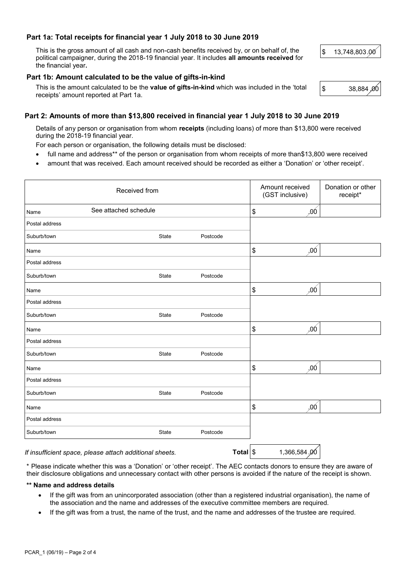## **Part 1a: Total receipts for financial year 1 July 2018 to 30 June 2019**

This is the gross amount of all cash and non-cash benefits received by, or on behalf of, the political campaigner, during the 2018-19 financial year. It includes **all amounts received** for the financial year**.**

## **Part 1b: Amount calculated to be the value of gifts-in-kind**

This is the amount calculated to be the **value of gifts-in-kind** which was included in the 'total  $\begin{bmatrix} \$ & 38,884\ \end{bmatrix}$ <br>receipts' amount reported at Part 1a.

# **Part 2: Amounts of more than \$13,800 received in financial year 1 July 2018 to 30 June 2019**

Details of any person or organisation from whom **receipts** (including loans) of more than \$13,800 were received during the 2018-19 financial year.

For each person or organisation, the following details must be disclosed:

- full name and address\*\* of the person or organisation from whom receipts of more than\$13,800 were received
- amount that was received. Each amount received should be recorded as either a 'Donation' or 'other receipt'.

| Received from                                           |              |          |          |    | Amount received<br>(GST inclusive) | Donation or other<br>receipt* |
|---------------------------------------------------------|--------------|----------|----------|----|------------------------------------|-------------------------------|
| See attached schedule<br>Name                           |              |          |          |    | ,00                                |                               |
| Postal address                                          |              |          |          |    |                                    |                               |
| Suburb/town                                             | State        | Postcode |          |    |                                    |                               |
| Name                                                    |              |          |          | \$ | ,00                                |                               |
| Postal address                                          |              |          |          |    |                                    |                               |
| Suburb/town                                             | State        | Postcode |          |    |                                    |                               |
| Name                                                    |              |          |          | \$ | .00 <sub>1</sub>                   |                               |
| Postal address                                          |              |          |          |    |                                    |                               |
| Suburb/town                                             | <b>State</b> | Postcode |          |    |                                    |                               |
| Name                                                    |              |          |          | \$ | .00                                |                               |
| Postal address                                          |              |          |          |    |                                    |                               |
| Suburb/town                                             | State        | Postcode |          |    |                                    |                               |
| Name                                                    |              |          |          | \$ | ,00                                |                               |
| Postal address                                          |              |          |          |    |                                    |                               |
| Suburb/town                                             | State        | Postcode |          |    |                                    |                               |
| Name                                                    |              |          |          | \$ | ,00                                |                               |
| Postal address                                          |              |          |          |    |                                    |                               |
| Suburb/town                                             | State        | Postcode |          |    |                                    |                               |
| If insufficient space, please attach additional sheets. |              |          | Total \$ |    | 1,366,584.00                       |                               |

\* Please indicate whether this was a 'Donation' or 'other receipt'. The AEC contacts donors to ensure they are aware of

their disclosure obligations and unnecessary contact with other persons is avoided if the nature of the receipt is shown.

## **\*\* Name and address details**

- If the gift was from an unincorporated association (other than a registered industrial organisation), the name of the association and the name and addresses of the executive committee members are required.
- If the gift was from a trust, the name of the trust, and the name and addresses of the trustee are required.

\$13,748,803.00

38,884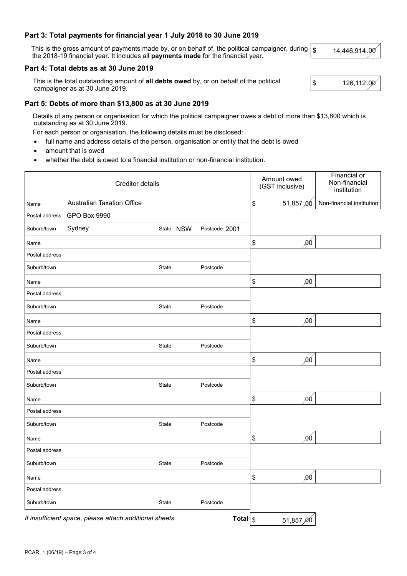## **Part 3: Total payments for financial year 1 July 2018 to 30 June 2019**

This is the gross amount of payments made by, or on behalf of, the political campaigner, during This is the gross amount of payments made by, or on behalf of, the political campaigner, during  $\frac{1}{3}$  the 2018-19 financial year. It includes all **payments made** for the financial year.

#### **Part 4: Total debts as at 30 June 2019**

This is the total outstanding amount of **all debts owed** by, or on behalf of the political **\$** .000 126,112.000<br>
campaigner as at 30 June 2019.

### **Part 5: Debts of more than \$13,800 as at 30 June 2019**

Details of any person or organisation for which the political campaigner owes a debt of more than \$13,800 which is outstanding as at 30 June 2019.

For each person or organisation, the following details must be disclosed:

• full name and address details of the person, organisation or entity that the debt is owed

amount that is owed

whether the debt is owed to a financial institution or non-financial institution.

| Creditor details |                                                         |              |               |              |                            | Amount owed<br>(GST inclusive) | Financial or<br>Non-financial<br>institution |
|------------------|---------------------------------------------------------|--------------|---------------|--------------|----------------------------|--------------------------------|----------------------------------------------|
| Name             | <b>Australian Taxation Office</b>                       |              |               |              | \$                         | 51,857,00                      | Non-financial institution                    |
| Postal address   | <b>GPO Box 9990</b>                                     |              |               |              |                            |                                |                                              |
| Suburb/town      | Sydney                                                  | State NSW    | Postcode 2001 |              |                            |                                |                                              |
| Name             |                                                         |              |               |              | $\boldsymbol{\$}$          | ,00                            |                                              |
| Postal address   |                                                         |              |               |              |                            |                                |                                              |
| Suburb/town      |                                                         | State        | Postcode      |              |                            |                                |                                              |
| Name             |                                                         |              |               |              | \$                         | ,00                            |                                              |
| Postal address   |                                                         |              |               |              |                            |                                |                                              |
| Suburb/town      |                                                         | State        | Postcode      |              |                            |                                |                                              |
| Name             |                                                         |              |               |              | \$                         | .00 <sub>1</sub>               |                                              |
| Postal address   |                                                         |              |               |              |                            |                                |                                              |
| Suburb/town      |                                                         | <b>State</b> | Postcode      |              |                            |                                |                                              |
| Name             |                                                         |              |               |              | $\boldsymbol{\mathsf{\$}}$ | ,00                            |                                              |
| Postal address   |                                                         |              |               |              |                            |                                |                                              |
| Suburb/town      |                                                         | State        | Postcode      |              |                            |                                |                                              |
| Name             |                                                         |              |               |              | $\boldsymbol{\mathsf{\$}}$ | ,00                            |                                              |
| Postal address   |                                                         |              |               |              |                            |                                |                                              |
| Suburb/town      |                                                         | State        | Postcode      |              |                            |                                |                                              |
| Name             |                                                         |              |               |              | \$                         | .00                            |                                              |
| Postal address   |                                                         |              |               |              |                            |                                |                                              |
| Suburb/town      |                                                         | State        | Postcode      |              |                            |                                |                                              |
| Name             |                                                         |              |               |              | $\boldsymbol{\mathsf{S}}$  | .00                            |                                              |
| Postal address   |                                                         |              |               |              |                            |                                |                                              |
| Suburb/town      |                                                         | State        | Postcode      |              |                            |                                |                                              |
|                  | If insufficient space, please attach additional sheets. |              |               | Total $ $ \$ |                            | 51,857,00                      |                                              |

14,446,914

126,112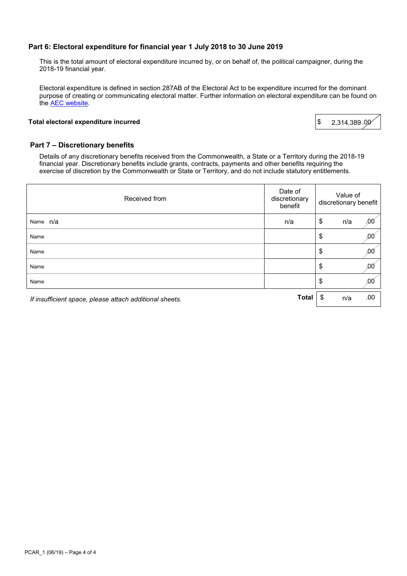## **Part 6: Electoral expenditure for financial year 1 July 2018 to 30 June 2019**

This is the total amount of electoral expenditure incurred by, or on behalf of, the political campaigner, during the 2018-19 financial year.

Electoral expenditure is defined in section 287AB of the Electoral Act to be expenditure incurred for the dominant purpose of creating or communicating electoral matter. Further information on electoral expenditure can be found on the AEC website.

#### **Total electoral expenditure incurred**  $\sqrt{s}$

2,314,389

#### **Part 7 – Discretionary benefits**

Details of any discretionary benefits received from the Commonwealth, a State or a Territory during the 2018-19 financial year. Discretionary benefits include grants, contracts, payments and other benefits requiring the exercise of discretion by the Commonwealth or State or Territory, and do not include statutory entitlements.

| Received from                                           | Date of<br>discretionary<br>benefit | Value of<br>discretionary benefit |     |
|---------------------------------------------------------|-------------------------------------|-----------------------------------|-----|
| Name n/a                                                | n/a                                 | \$<br>n/a                         | .00 |
| Name                                                    |                                     | \$                                | .00 |
| Name                                                    |                                     | \$                                | .00 |
| Name                                                    |                                     | \$                                | .00 |
| Name                                                    |                                     | \$                                | .00 |
| If insufficient space, please attach additional sheets. | <b>Total</b>                        | \$<br>n/a                         | .00 |